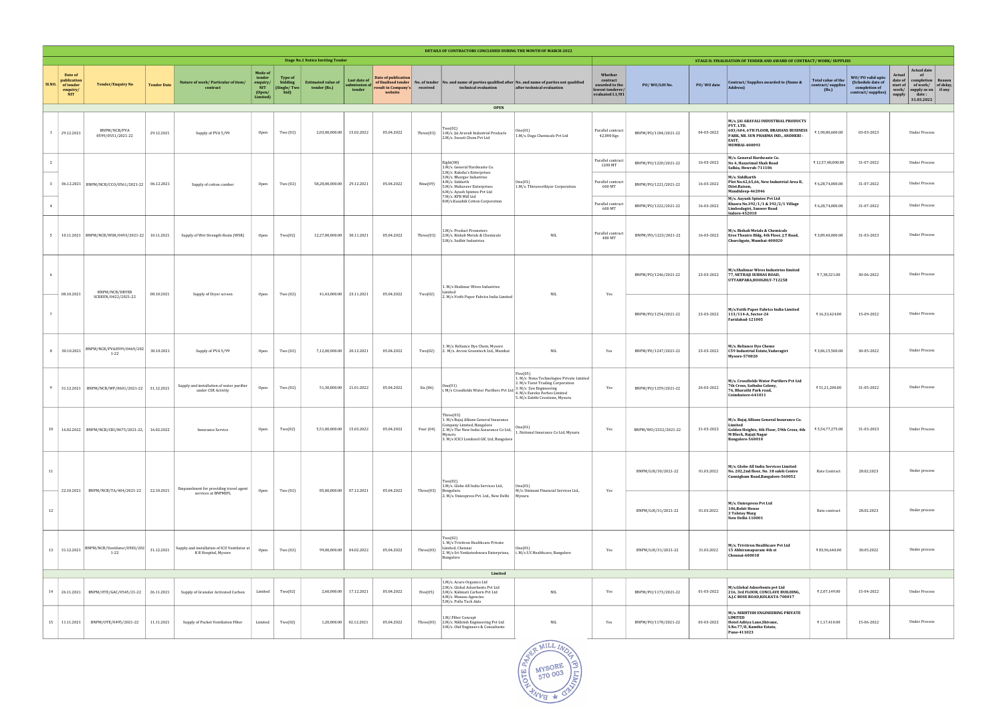|        | DETAILS OF CONTRACTORS CONCLUDED DURING THE MONTH OF MARCH-2022 |                                                   |                    |                                                                      |                                                                   |                                                   |                                           |                                         |                                                                              |             |                                                                                                                                                                                                                                                                               |                                                                                                                                                                                       |                                                                              |                      |                     |                                                                                                                                                             |                                                                                   |                                                                              |                                                                                                                                                                         |               |
|--------|-----------------------------------------------------------------|---------------------------------------------------|--------------------|----------------------------------------------------------------------|-------------------------------------------------------------------|---------------------------------------------------|-------------------------------------------|-----------------------------------------|------------------------------------------------------------------------------|-------------|-------------------------------------------------------------------------------------------------------------------------------------------------------------------------------------------------------------------------------------------------------------------------------|---------------------------------------------------------------------------------------------------------------------------------------------------------------------------------------|------------------------------------------------------------------------------|----------------------|---------------------|-------------------------------------------------------------------------------------------------------------------------------------------------------------|-----------------------------------------------------------------------------------|------------------------------------------------------------------------------|-------------------------------------------------------------------------------------------------------------------------------------------------------------------------|---------------|
|        | <b>Stage No.1 Notice Inviting Tender</b>                        |                                                   |                    |                                                                      |                                                                   |                                                   |                                           |                                         |                                                                              |             |                                                                                                                                                                                                                                                                               |                                                                                                                                                                                       | STAGE II: FINALISATION OF TENDER AND AWARD OF CONTRACT/WORK/SUPPLIES         |                      |                     |                                                                                                                                                             |                                                                                   |                                                                              |                                                                                                                                                                         |               |
| SI.NO. | Date of<br>publication<br>of tender<br>enquiry/<br><b>NIT</b>   | <b>Tender/Enquiry No</b>                          | <b>Tender Date</b> | Nature of work/Particular of item/<br>contract                       | Mode of<br>tender<br>enquiry/<br><b>NIT</b><br>(Open/<br>Limited) | <b>Type of</b><br>bidding<br>[Single/Two]<br>bid) | <b>Estimated value of</b><br>tender (Rs.) | Last date of<br>submission of<br>tender | Date of publication<br>of finalised tender<br>result in Company's<br>website | received    | No. of tender No. and name of parties qualified after No. and name of parties not qualified<br>technical evaluation<br><b>OPEN</b>                                                                                                                                            | after technical evaluation                                                                                                                                                            | Whether<br>contract<br>awarded to the<br>lowest tenderer/<br>evaluated L1/H1 | PO/WO/LOI No.        | PO/WO date          | Contract/Supplies awarded to (Name &<br>Address)                                                                                                            | Total value of the<br>contract/supplies<br>(Rs.)                                  | WO/PO valid upto<br>(Schedule date of<br>completion of<br>contract/supplies) | <b>Actual date</b><br>Actual<br>of<br>date of<br>completion   Reason<br>of work/ of delay,<br>start of<br>work/<br>supply as on if any<br>date:<br>supply<br>31.03.2022 |               |
|        |                                                                 |                                                   |                    |                                                                      |                                                                   |                                                   |                                           |                                         |                                                                              |             |                                                                                                                                                                                                                                                                               |                                                                                                                                                                                       |                                                                              |                      |                     |                                                                                                                                                             |                                                                                   |                                                                              |                                                                                                                                                                         |               |
|        | 29.12.2021                                                      | BNPM/NCB/PVA<br>0599/0551/2021-22                 | 29.12.2021         | Supply of PVA 5/99                                                   | Open                                                              | Two (02)                                          | 2,03,00,000.00                            | 15.02.2022                              | 05.04.2022                                                                   | Three(03)   | Two(02)<br>1.M/s. Jai Aravali Industrial Products<br>2.M/s. Swasti Chem Pvt Ltd                                                                                                                                                                                               | 1.M/s. Daga Chemicals Pvt Ltd                                                                                                                                                         | Parallel contract<br>42,000 Kgs                                              | BNPM/PO/1184/2021-22 | 04-03-2022          | M/s. JAI ARAVALI INDUSTRIAL PRODUCTS<br>PVT. LTD.<br>603/604, 6TH FLOOR, BRAHANS BUSINESS<br>PARK, NR. SUN PHARMA IND., ANDHERI -<br>EAST,<br>MUMBAI-400093 | ₹1,90,80,600.00                                                                   | 03-03-2023                                                                   | <b>Under Process</b>                                                                                                                                                    |               |
|        |                                                                 |                                                   |                    |                                                                      |                                                                   |                                                   |                                           |                                         |                                                                              |             | Eight(08)<br>1.M/s. General Hardwaste Co.<br>2.M/s. Raksha's Enterprises                                                                                                                                                                                                      |                                                                                                                                                                                       | Parallel contract<br>1200 MT                                                 | BNPM/PO/1220/2021-22 | 16-03-2022          | M/s. General Hardwaste Co.<br>No 4, Hazarimal Shah Road<br>Salkia, Howrah-711106                                                                            | ₹12,57,48,000.00                                                                  | 31-07-2022                                                                   | <b>Under Process</b>                                                                                                                                                    |               |
|        |                                                                 | 3 06.12.2021 BNPM/NCB/CCO/0561/2021-22 06.12.2021 |                    | Supply of cotton comber                                              | Open                                                              | Two (02)                                          | 58,28,00,000.00                           | 29.12.2021                              | 05.04.2022                                                                   | Nine(09)    | 3.M/s. Bhargav Industries<br>4.M/s. Siddarth<br>5.M/s. Mahaveer Enterprises<br>6.M/s. Ayush Spintex Pvt Ltd<br>7.M/s. KPR Mill Ltd                                                                                                                                            | One(01)<br>1.M/s. Thiruveethiyar Corporation                                                                                                                                          | Parallel contract<br>600 MT                                                  | BNPM/P0/1221/2021-22 | 16-03-2022          | M/s. Siddharth<br>Plot No.62,65,66, New Industrial Area II,<br>Diist.Raisen,<br>Mandideep-462046                                                            | ₹ 6,28,74,000.00                                                                  | 31-07-2022                                                                   | <b>Under Process</b>                                                                                                                                                    |               |
|        |                                                                 |                                                   |                    |                                                                      |                                                                   |                                                   |                                           |                                         |                                                                              |             | 8.M/s.Kaushik Cotton Corporation                                                                                                                                                                                                                                              |                                                                                                                                                                                       | Parallel contract<br>600 MT                                                  | BNPM/PO/1222/2021-22 | 16-03-2022          | M/s. Aayush Spintex Pvt Ltd<br>Khasra No.392/1/1 & 392/2/1 Village<br>Limbodagiri, Sanwer Road<br>Indore-452010                                             | ₹6,28,74,000.00                                                                   | 31-07-2022                                                                   | <b>Under Process</b>                                                                                                                                                    |               |
|        |                                                                 | 5   10.11.2021   BNPM/NCB/WSR/0493/2021-22        | 10.11.2021         | Supply of Wet Strength Resin (WSR)                                   | Open                                                              | Two(02)                                           | 12,27,00,000.00                           | 30.11.2021                              | 05.04.2022                                                                   | Three(03)   | 1.M/s. Product Promoters<br>2.M/s. Rishab Metals & Chemicals<br>3.M/s. Sudhir Industries                                                                                                                                                                                      | <b>NIL</b>                                                                                                                                                                            | Parallel contract<br>480 MT                                                  | BNPM/PO/1223/2021-22 | 16-03-2022          | M/s. Rishab Metals & Chemicals<br>Eros Theatre Bldg, 4th Floor, J.T Road,<br>Churchgate, Mumbai-400020                                                      | ₹3,89,40,000.00                                                                   | 31-03-2023                                                                   | <b>Under Process</b>                                                                                                                                                    |               |
|        | 08.10.2021                                                      | BNPM/NCB/DRYER                                    | 08.10.2021         | Supply of Dryer screen                                               | Open                                                              | Two (02)                                          | 41,43,000.00                              | 23.11.2021                              | 05.04.2022                                                                   | Two(02)     | 1. M/s Shalimar Wires Industries<br>imiter                                                                                                                                                                                                                                    | <b>NIL</b>                                                                                                                                                                            | Yes                                                                          | BNPM/P0/1246/2021-22 | 23-03-2022          | M/s.Shalimar Wires Industries limited<br>77, NETHAJI SUBHAS ROAD,<br>UTTARPARA, HOOGHLY-712258                                                              | ₹7,38,321.00                                                                      | 30-06-2022                                                                   | <b>Under Process</b>                                                                                                                                                    |               |
|        |                                                                 | SCREEN/0422/2021-22                               |                    |                                                                      |                                                                   |                                                   |                                           |                                         |                                                                              |             | 2. M/s Voith Paper Fabrics India Limited                                                                                                                                                                                                                                      |                                                                                                                                                                                       |                                                                              | BNPM/PO/1254/2021-22 | 23-03-2022          | M/s.Voith Paper Fabrics India Limited<br>113/114-A, Sector-24<br>Faridabad-121005                                                                           | ₹16,33,424.00                                                                     | 15-09-2022                                                                   | <b>Under Process</b>                                                                                                                                                    |               |
|        | 8 30.10.2021                                                    | BNPM/NCB/PVA0599/0469/202<br>$1 - 22$             | 30.10.2021         | Supply of PVA 5/99                                                   | Open                                                              | Two (02)                                          | 7,12,00,000.00                            | 20.12.2021                              | 05.04.2022                                                                   | Two(02)     | 1. M/s. Reliance Dye Chem, Mysore<br>2. M/s. Arrow Greentech Ltd., Mumbai                                                                                                                                                                                                     | <b>NIL</b>                                                                                                                                                                            | Yes                                                                          | BNPM/P0/1247/2021-22 | 23-03-2022          | M/s. Reliance Dye Chems<br>C59 Industrial Estate, Yadavagiri<br><b>Mysore-570020</b>                                                                        | ₹3,86,15,500.00                                                                   | 30-05-2022                                                                   | Under Process                                                                                                                                                           |               |
|        |                                                                 | 31.12.2021   BNPM/NCB/WP/0601/2021-22             | 31.12.2021         | Supply and installation of water purifier<br>under CSR Activity      | Open                                                              | Two (02)                                          | 51,30,000.00                              | 21.01.2022                              | 05.04.2022                                                                   | Six (06)    | One(01)<br>i. M/s Crossfields Water Purifiers Pvt Ltd                                                                                                                                                                                                                         | Five(05)<br>1. M/s Nona Technologies Private Limited<br>2. M/s Tanvi Trading Corporation<br>3. M/s Zen Engineering<br>4. M/s Eureka Forbes Limited<br>5. M/s Zakthi Creations, Mysuru | Yes                                                                          | BNPM/PO/1259/2021-22 | 26-03-2022          | M/s. Crossfields Water Purifiers Pvt Ltd<br>7th Cross, Saibaba Colony,<br>76, Bharathi Park road,<br>Coimbatore-641011                                      | ₹51,21,200.00                                                                     | 31-05-2022                                                                   | <b>Under Process</b>                                                                                                                                                    |               |
|        |                                                                 | 10  16.02.2022  BNPM/NCB/CRI/0675/2021-22,        | 16.02.2022         | <b>Insurance Service</b>                                             | Open                                                              | Two(02)                                           | 5,51,00,000.00                            | 15.03.2022                              | 05.04.2022                                                                   | Four $(04)$ | Three(03)<br>1. M/s Bajaj Allianz General Insurance<br>Company Limited, Bangalore<br>2. M/s The New India Assurance Co Ltd, $\begin{vmatrix} \text{one}_{\{v\}} \\ 1 \end{vmatrix}$ . National Insurance Co Ltd, Mysuru<br> Mysuru<br>3. M/s ICICI Lombard GIC Ltd, Bangalore | One(01)                                                                                                                                                                               | Yes                                                                          | BNPM/W0/2332/2021-22 | 31-03-2022          | M/s. Bajaj Allianz General Insurance Co.<br>Limited<br>Golden Heights, 4th Floor, 59th Cross, 4th<br>M Block, Rajaji Nagar<br>Bangalore-560010              | ₹5,54,77,275.00                                                                   | 31-03-2023                                                                   | <b>Under Process</b>                                                                                                                                                    |               |
| 11     |                                                                 | BNPM/NCB/TA/404/2021-22                           | 22.10.2021         | Empanelment for providing travel agent                               | Open                                                              | Two (02)                                          | 85,00,000.00                              | 07.12.2021                              | 05.04.2022                                                                   | Three(03)   | Two(02)<br>1.M/s. Globe All India Services Ltd.,<br>Bengaluru                                                                                                                                                                                                                 | One(01)<br>M/s. Unimoni Financial Services Ltd.,                                                                                                                                      | Yes                                                                          | BNPM/L0I/30/2021-22  | 01.03.2022          | M/s. Globe All India Services Limited<br>No. 202,2nd floor, No. 18 saleh Centre<br>Cunnigham Road, Bangalore-560052                                         | Rate Contract                                                                     | 28.02.2023                                                                   | Under process                                                                                                                                                           |               |
| 12     | 22.10.2021                                                      |                                                   |                    | services at BNPMIPL                                                  |                                                                   |                                                   |                                           |                                         |                                                                              |             |                                                                                                                                                                                                                                                                               | 2. M/s. Uniexpress Pvt. Ltd., New Delhi                                                                                                                                               | Mysuru                                                                       |                      | BNPM/L0I/31/2021-22 | 01.03.2022                                                                                                                                                  | M/s. Uniexpress Pvt Ltd<br>106, Rohit House<br>3 Tolstoy Marg<br>New Delhi-110001 | Rate contract                                                                | 28.02.2023                                                                                                                                                              | Under process |
|        | 13 31.12.2021                                                   | BNPM/NCB/Ventilator/0583/202<br>$1 - 22$          | 31.12.2021         | Supply and installation of ICU Ventilator at<br>K R Hospital, Mysore | Open                                                              | Two (02)                                          | 99,00,000.00                              | 04.02.2022                              | 05.04.2022                                                                   | Three(03)   | Two(02)<br>1. M/s Trivitron Healthcare Private<br>Limited, Chennai<br>2. M/s Sri Venkateshwara Enterprises,<br>Bangalore                                                                                                                                                      | One(01)<br>i. M/s S.V.Healthcare, Bangalore                                                                                                                                           | Yes                                                                          | BNPM/L0I/31/2021-22  | 31.03.2022          | M/s. Trivitron Healthcare Pvt Ltd<br>15 Abhiramapuram 4th st<br>Chennai-600018                                                                              | ₹83,96,640.00                                                                     | 30.05.2022                                                                   | Under process                                                                                                                                                           |               |
|        |                                                                 |                                                   |                    |                                                                      |                                                                   |                                                   |                                           |                                         |                                                                              |             | Limited                                                                                                                                                                                                                                                                       |                                                                                                                                                                                       |                                                                              |                      |                     |                                                                                                                                                             |                                                                                   |                                                                              |                                                                                                                                                                         |               |
|        | 14 26.11.2021                                                   | BNPM/OTE/GAC/0545/21-22                           | 26.11.2021         | Supply of Granular Activated Carbon                                  | Limited                                                           | Two(02)                                           | 2,60,000.00                               | 17.12.2021                              | 05.04.2022                                                                   | Five(05)    | 1.M/s. Acuro Organics Ltd<br>2.M/s. Global Adsorbents Pvt Ltd<br>3.M/s. Kalimati Carborn Pvt Ltd<br>4.M/s. Manasa Agencies<br>5.M/s. Pollu Tech Aids                                                                                                                          | <b>NIL</b>                                                                                                                                                                            | Yes                                                                          | BNPM/PO/1173/2021-22 | 01-03-2022          | M/s.Global Adsorbents pvt Ltd<br>216, 3rd FLOOR, CONCLAVE BUILDING,<br>A.J.C BOSE ROAD, KOLKATA-700017                                                      | ₹ 2,07,149.00                                                                     | 15-04-2022                                                                   | <b>Under Process</b>                                                                                                                                                    |               |
|        | 15 11.11.2021                                                   | BNPM/OTE/0495/2021-22                             | 11.11.2021         | Supply of Pocket Ventilation Filter                                  | Limited                                                           | Two(02)                                           | 1,20,000.00                               | 02.12.2021                              | 05.04.2022                                                                   | Three(03)   | 1.M/.Filter Concept<br>2.M/s. Nikhtish Engineering Pvt Ltd<br>3.M/s. Olaf Engineers & Consultants                                                                                                                                                                             | <b>NIL</b>                                                                                                                                                                            | Yes                                                                          | BNPM/PO/1178/2021-22 | 03-03-2022          | M/s. NIKHTISH ENGINEERING PRIVATE<br><b>LIMITED</b><br>Hotel Aditya Lane, Shivane,<br>S.No.77/8, Kamthe Estate,<br>Pune-411023                              | ₹1,17,410.00                                                                      | 15-06-2022                                                                   | <b>Under Process</b>                                                                                                                                                    |               |

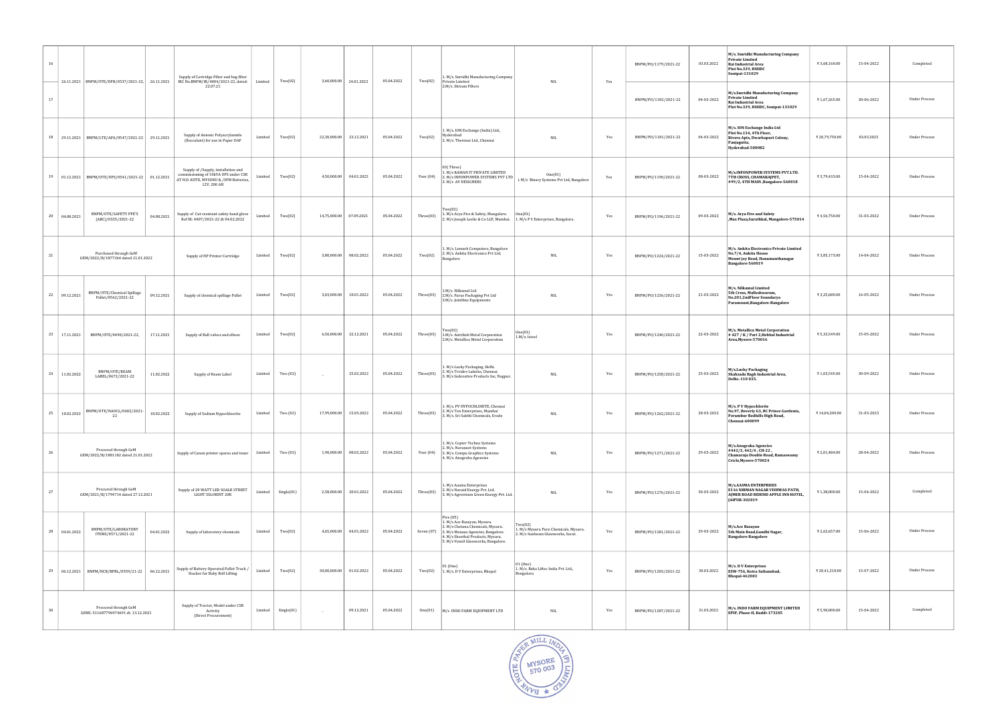| 16 |                |                                                              |            | Supply of Cartridge Filter and bag filter                                                                                            |         | Two(02)              | 3,60,000.00  |            | 05.04.2022 | Two(02)     | 1. M/s. Smridhi Manufacturing Company<br>Private Limited                                                                                                                                                    | NIL                                                                                  |     | BNPM/PO/1179/2021-22 | 03.03.2022 | M/s. Smridhi Manufacturing Company<br><b>Private Limited</b><br>Rai Industrial Area<br>Plot No.339, HSIIDC<br>Sonipat-131029 | ₹3,68,160.00   | 15-04-2022 | Completed            |
|----|----------------|--------------------------------------------------------------|------------|--------------------------------------------------------------------------------------------------------------------------------------|---------|----------------------|--------------|------------|------------|-------------|-------------------------------------------------------------------------------------------------------------------------------------------------------------------------------------------------------------|--------------------------------------------------------------------------------------|-----|----------------------|------------|------------------------------------------------------------------------------------------------------------------------------|----------------|------------|----------------------|
| 17 |                | 26.11.2021 BNPM/OTE/DFH/0537/2021-22, 26.11.2021             |            | IRC No.BNPM/IR/4004/2021-22, dated:<br>22.07.21                                                                                      | Limited |                      |              | 24.01.2022 |            |             | 2.M/s. Shivam Filters                                                                                                                                                                                       |                                                                                      | Yes | BNPM/PO/1182/2021-22 | 04-03-2022 | M/s.Smridhi Manufacturing Company<br><b>Private Limited</b><br>Rai Industrial Area<br>Plot No.339, HSIIDC, Sonipat-131029    | ₹1,67,265.00   | 30-06-2022 | <b>Under Process</b> |
|    |                | 18   29.11.2021   BNPM/LTE/APA/0547/2021-22   29.11.2021     |            | Supply of Anionic Polyacrylamide<br>(flocculant) for use in Paper DAF                                                                | Limited | Two(02)              | 22,30,000.00 | 23.12.2021 | 05.04.2022 | Two(02)     | 1. M/s. ION Exchange (India) Ltd.,<br>Hyderabad<br>2. M/s. Thermax Ltd., Chennai                                                                                                                            | <b>NIL</b>                                                                           | Yes | BNPM/PO/1181/2021-22 | 04-03-2022 | M/s. ION Exchange India Ltd<br>Plot No.134, 4Th Floor,<br>Rivera Apts, Dwarkapuri Colony,<br>Panjagutta,<br>Hyderabad-500082 | ₹ 20,79,750.00 | 03.03.2023 | Under Process        |
|    |                | 19 01.12.2021 BNPM/OTE/UPS/0541/2021-22 01.12.2021           |            | Supply of /Supply, installation and<br>commissioning of 10kVA UPS under CSR<br>AT H.D. KOTE, MYSURU & /SFM Batteries,<br>12V, 200 AH | Limited | Two(02)              | 4,50,000.00  | 04.01.2022 | 05.04.2022 | Four $(04)$ | 03(Three)<br>1. M/s RAMAN IT PRIVATE LIMITED<br>2. M/s INFONPOWER SYSTEMS PVT LTD<br>3. M/s AV DESIGNERS                                                                                                    | One(01)<br>i. M/s Binary Systems Pvt Ltd, Bangalore                                  | Yes | BNPM/PO/1190/2021-22 | 08-03-2022 | M/s.INFONPOWER SYSTEMS PVT.LTD.<br>7TH CROSS, CHAMARAJPET,<br>#99/2, 4TH MAIN ,Bangalore-560018                              | ₹3,79,433.00   | 15-04-2022 | Under Process        |
|    | 20  04.08.2021 | BNPM/OTE/SAFETY PPE'S<br>(ARC)/0325/2021-22                  | 04.08.2021 | Supply of Cut resistant safety hand glove<br>Ref IR: 4007/2021-22 dt 04.02.2022                                                      | Limited | Two(02)              | 14,75,000.00 | 07.09.2021 | 05.04.2022 | Three(03)   | Two(02)<br>1. M/s Arya Fire & Safety, Mangalore.<br>2. M/s Joseph Leslie & Co LLP, Mumbai.   1. M/s P S Enterprises, Bangalore.                                                                             | One(01)                                                                              | Yes | BNPM/PO/1196/2021-22 | 09-03-2022 | M/s. Arya Fire and Safety<br>,Max Plaza,Surathkal, Mangalore-575014                                                          | ₹4,56,750.00   | 31-03-2022 | <b>Under Process</b> |
| 21 |                | Purchased through GeM<br>GEM/2022/B/1877364 dated 21.01.2022 |            | Supply of HP Printer Cartridge                                                                                                       | Limited | Two(02)              | 3,80,000.00  | 08.02.2022 | 05.04.2022 | Two(02)     | 1. M/s. Lemark Computers, Bangalore<br>2. M/s. Ankita Electronics Pvt Ltd,<br>Bangalore                                                                                                                     | <b>NIL</b>                                                                           | Yes | BNPM/P0/1224/2021-22 | 15-03-2022 | M/s. Ankita Electronics Private Limited<br>No.7/4, Ankita House<br>Mount joy Road, Hanumanthanagar<br>Bangalore-560019       | ₹3,85,173.00   | 14-04-2022 | Under Process        |
|    | 22 09.12.2021  | BNPM/OTE/Chemical Spillage<br>Pallet/0562/2021-22            | 09.12.2021 | Supply of chemical spillage Pallet                                                                                                   | Limited | Two(02)              | 3,03,000.00  | 18.01.2022 | 05.04.2022 |             | 1.M/s. Nilkamal Ltd<br>Three(03) 2.M/s. Furus Packaging Pvt Ltd<br>3.M/s. Jointline Equipments                                                                                                              | <b>NIL</b>                                                                           | Yes | BNPM/P0/1236/2021-22 | 21-03-2022 | M/s. Nilkamal Limited<br>5th Cross, Malleshwaram,<br>No.201,2ndFloor Soundarya<br>Paramount, Bangalore-Bangalore             | ₹3,25,680.00   | 16-05-2022 | Under Process        |
|    | 23 17.11.2021  | BNPM/OTE/0490/2021-22,                                       | 17.11.2021 | Supply of Ball valves and elbow                                                                                                      | Limited | Two(02)              | 6,50,000.00  | 22.12.2021 | 05.04.2022 | Three(03)   | Two(02)<br>1.M/s. Antriksh Metal Corporation<br>2.M/s. Metallica Metal Corporation                                                                                                                          | One(01)<br>1.M/s. Isteel                                                             | Yes | BNPM/P0/1240/2021-22 | 22-03-2022 | M/s. Metallica Metal Corporation<br>#427 / K / Part 2, Hebbal Industrial<br>Area, Mysore-570016                              | ₹5,33,549.00   | 15-05-2022 | <b>Under Process</b> |
|    | 24 11.02.2022  | BNPM/OTE/REAM<br>LABEL/0672/2021-22                          | 11.02.2022 | Supply of Ream Label                                                                                                                 | Limited | Two (02)             | $\sim$       | 25.02.2022 | 05.04.2022 | Three(03)   | 1. M/s Lucky Packaging, Delhi.<br>2. M/s Trridev Labelss, Chennai.<br>3. M/s Indovative Products Inc, Nagpur.                                                                                               | <b>NIL</b>                                                                           | Yes | BNPM/P0/1258/2021-22 | 25-03-2022 | M/s.Lucky Packaging<br>Shahzada Bagh Industrial Area,<br>Delhi.-110 035.                                                     | ₹1,03,545.00   | 30-09-2022 | <b>Under Process</b> |
|    |                | 25   18.02.2022   BNPM/OTE/NAOCL/0682/2021-<br>22            | 18.02.2022 | Supply of Sodium Hypochloorite                                                                                                       |         | Limited   Two $(02)$ | 17,99,000.00 | 15.03.2022 | 05.04.2022 | Three(03)   | 1. M/s. PV HYPOCHLORITE, Chennai<br>2. M/s Ten Enterprises, Mumbai<br>3. M/s. Sri Sakthi Chemicals, Erode                                                                                                   | <b>NIL</b>                                                                           | Yes | BNPM/P0/1262/2021-22 | 28-03-2022 | M/s. P V Hypochlorite<br>No.97, Beverly G3, RC Prince Gardenia,<br>Perambur Redhills High Road,<br>Chennai-600099            | ₹14,04,200.00  | 31-03-2023 | Under Process        |
| 26 |                | Procured through GeM<br>GEM/2022/B/1881182 dated 21.01.2022  |            | Supply of Canon printer spares and toner                                                                                             | Limited | Two (02)             | 1,90,000.00  | 08.02.2022 | 05.04.2022 | Four $(04)$ | 1. M/s. Copier Techno Systems<br>2. M/s. Navaneet Systems<br>3. M/s. Compu Graphics Systems<br>4. M/s. Anugraha Agencies                                                                                    | <b>NIL</b>                                                                           | Yes | BNPM/PO/1271/2021-22 | 29-03-2022 | M/s.Anugraha Agencies<br>#442/3, 442/4, CH-22,<br>Chamaraja Double Road, Ramaswamy<br>Cricle, Mysore-570024                  | ₹2,01,484.00   | 28-04-2022 | Under Process        |
| 27 |                | Procured through GeM<br>GEM/2021/B/1794714 dated 27.12.2021  |            | Supply of 20 WATT LED SOALR STREET<br>LIGHT SSLORINT 20R                                                                             | Limited | Single(01)           | 2,58,000.00  | 20.01.2022 | 05.04.2022 | Three(03)   | 1. M/s Aasma Enterprises<br>2. M/s Navaid Energy Pvt. Ltd.<br>3. M/s Agrovision Green Energy Pvt. Ltd.                                                                                                      | <b>NIL</b>                                                                           | Yes | BNPM/P0/1276/2021-22 | 30-03-2022 | <b>M/s.AASMA ENTERPRISES</b><br>E116 NIRMAN NAGAR VISHWAS PATH,<br>AJMER ROAD BEHIND APPLE INN HOTEL,<br>JAIPUR-302019       | ₹1,38,000.00   | 15-04-2022 | Completed            |
|    | 28 04.01.2022  | BNPM/OTE/LABORATORY<br>ITEMS/0571/2021-22                    | 04.01.2022 | Supply of laboratory chemicals                                                                                                       | Limited | Two(02)              | 4,65,000.00  | 04.01.2022 | 05.04.2022 |             | Five (05)<br>1. M/s Ace Rasayan, Mysuru.<br>2. M/s Chetana Chemicals, Mysuru.<br>Seven (07) 3. M/s Manasa Agencies, Bangalore.<br>4. M/s Sheethal Products, Mysuru.<br>5. M/s Vensil Glassworks, Bangalore. | Twof02<br>1. M/s Mysuru Pure Chemicals, Mysuru.<br>2. M/s Sunbeam Glassworks, Surat. | Yes | BNPM/P0/1281/2021-22 | 29-03-2022 | M/s.Ace Rasayan<br>5th Main Road, Gandhi Nagar,<br><b>Bangalore-Bangalore</b>                                                | ₹ 2,62,657.00  | 15-06-2022 | Under Process        |
|    |                | 29   06.12.2021   BNPM/NCB/BPRL/0559/21-22   06.12.2021      |            | Supply of Battery Operated Pallet Truck /<br>Stacker for Baby Roll Lifting                                                           | Limited | Two(02)              | 30,00,000.00 | 01.02.2022 | 05.04.2022 | Two(02)     | 01 (One)<br>1. M/s. D V Enterprises, Bhopal                                                                                                                                                                 | 01 (One)<br>1. M/s. Baka Liftec India Pvt. Ltd.,<br>Bengaluru                        | Yes | BNPM/P0/1283/2021-22 | 30.03.2022 | M/s. D V Enterprises<br>ESW-756, Kotra Sultanabad,<br><b>Bhopal-462003</b>                                                   | ₹ 20,41,218.00 | 15-07-2022 | Under Process        |
| 30 |                | Procured through GeM<br>GEMC-511687796974691 dt. 13.12.2021  |            | Supply of Tractor, Model under CSR<br>Activity<br>(Direct Procurement)                                                               | Limited | Single(01)           | $\sim$       | 09.12.2021 | 05.04.2022 | One(01)     | M/s INDO FARM EQUIPMENT LTD                                                                                                                                                                                 | <b>NIL</b>                                                                           | Yes | BNPM/P0/1287/2021-22 | 31.03.2022 | M/s. INDO FARM EQUIPMENT LIMITED<br>EPIP, Phase-II, Baddi-173205                                                             | ₹5,90,000.00   | 15-04-2022 | Completed            |

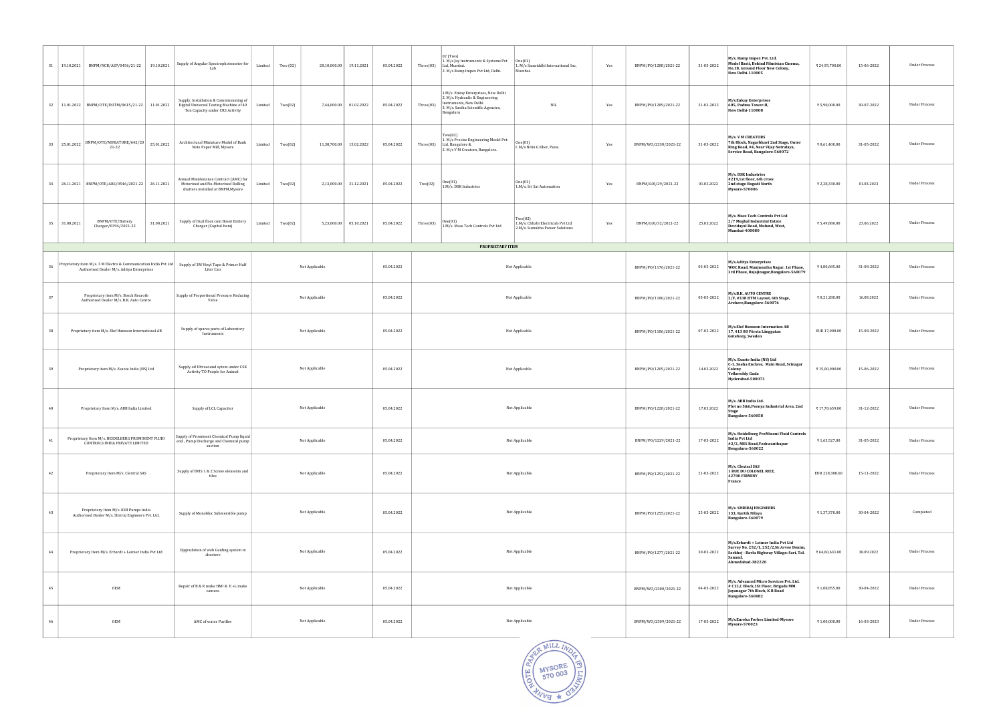| 31<br>19.10.2021                                  | BNPM/NCB/ASP/0456/21-22                                                                                      |  | 19.10.2021 | Supply of Angular Spectrophotometer for<br>Lah                                                                        | Limited        | Two (02) | 28,10,000.00   | 19.11.2021 | 05.04.2022 | Three(03)      | 02 (Two)<br>1. M/s Jay Instruments & Systems Pvt<br>Ltd, Mumbai.<br>2. M/s Ramp Impex Pvt Ltd, Delhi.                                                | One(01)<br>1. M/s Samriddhi International Inc,<br>Mumbai.                      | Yes                  | BNPM/P0/1288/2021-22 | 31-03-2022                                                                                                                          | M/s. Ramp Impex Pvt. Ltd.<br>Model Basti, Behind Filmistan Cinema,<br>No.18, Ground Floor New Colony,<br>New Delhi-110005                                    | ₹ 24,95,700.00 | 15-06-2022           | Under Process        |
|---------------------------------------------------|--------------------------------------------------------------------------------------------------------------|--|------------|-----------------------------------------------------------------------------------------------------------------------|----------------|----------|----------------|------------|------------|----------------|------------------------------------------------------------------------------------------------------------------------------------------------------|--------------------------------------------------------------------------------|----------------------|----------------------|-------------------------------------------------------------------------------------------------------------------------------------|--------------------------------------------------------------------------------------------------------------------------------------------------------------|----------------|----------------------|----------------------|
|                                                   | 32   11.01.2022   BNPM/OTE/DUTM/0615/21-22                                                                   |  | 11.01.2022 | Supply, Installation & Commissioning of<br>Digital Universal Testing Machine of 40<br>Ton Capacity under CRS Activity | Limited        | Two(02)  | 7,44,000.00    | 01.02.2022 | 05.04.2022 | Three(03)      | 1.M/s. Enkay Enterprises, New Delhi<br>2. M/s. Hydraulic & Engineering<br>Instruments, New Delhi<br>3. M/s. Sastha Scientific Agencies,<br>Bengaluru | $\rm NIL$                                                                      | Yes                  | BNPM/PO/1289/2021-22 | 31-03-2022                                                                                                                          | M/s.Enkay Enterprises<br>605, Padma Tower-II,<br>New Delhi-110008                                                                                            | ₹5,90,000.00   | 30-07-2022           | <b>Under Process</b> |
| 33 25.01.2022                                     | BNPM/OTE/MINIATURE/642/20<br>21-22                                                                           |  | 25.01.2022 | Architectural Miniature Model of Bank<br>Note Paper Mill, Mysore                                                      | Limited        | Two(02)  | 11,38,700.00   | 15.02.2022 | 05.04.2022 | Three(03)      | Two(02)<br>1. M/s Precise Engineering Model Pvt.<br>Ltd, Bangalore &<br>2. M/s V M Creators, Bangalore.                                              | One(01)<br>I. M/s Nitin G Kher, Pune.                                          | Yes                  | BNPM/W0/2330/2021-22 | 31-03-2022                                                                                                                          | <b>M/s. V M CREATORS</b><br>7th Block, Nagarbhavi 2nd Stage, Outer<br>Ring Road, #4, Near Vijay Netralaya,<br>Service Road, Bangalore-560072                 | ₹8,61,400.00   | 31-05-2022           | <b>Under Process</b> |
| 34                                                | 26.11.2021   BNPM/OTE/ARS/0546/2021-22   26.11.2021                                                          |  |            | Annual Maintenance Contract (AMC) for<br>Motorized and No-Motorized Rolling<br>shutters installed at BNPM, Mysore     | Limited        | Two(02)  | 2,13,000.00    | 31.12.2021 | 05.04.2022 | Two(02)        | One(01)<br>1.M/s. DSK Industries                                                                                                                     | One(01)<br>1.M/s. Sri Sai Automation                                           | Yes                  | BNPM/L0I/29/2021-22  | 01.03.2022                                                                                                                          | M/s. DSK Industries<br>#219,1st floor, 6th cross<br>2nd stage Bogadi North<br><b>Mysore-570006</b>                                                           | ₹ 2,28,330.00  | 01.03.2023           | Under Process        |
| 35 31.08.2021                                     | BNPM/OTE/Battery<br>Charger/0394/2021-22                                                                     |  | 31.08.2021 | Supply of Dual float cum Boost Battery<br>Charger (Capital Item)                                                      | Limited        | Two(02)  | 5,23,000.00    | 05.10.2021 | 05.04.2022 | Three(03)      | One(01)<br>1.M/s. Mass Tech Controls Pvt Ltd                                                                                                         | Two(02)<br>1.M/s. Chhabi Electricals Pvt Ltd<br>2.M/s. Sumukha Power Solutions | Yes                  | BNPM/L0I/32/2021-22  | 25.03.2022                                                                                                                          | M/s. Mass Tech Controls Pvt Ltd<br>2/7 Meghal Industrial Estate<br>Devidayal Road, Mulund, West,<br>Mumbai-400080                                            | ₹5,49,880.00   | 23.06.2022           | <b>Under Process</b> |
|                                                   |                                                                                                              |  |            |                                                                                                                       |                |          |                |            |            |                | <b>PROPRIETARY ITEM</b>                                                                                                                              |                                                                                |                      |                      |                                                                                                                                     |                                                                                                                                                              |                |                      |                      |
| 36                                                | Proprietary item M/s. 3 M Electro & Communication India Pvt Ltd<br>Authorised Dealer M/s. Aditya Enterprises |  |            | Supply of 3M Vinyl Tape & Primer Half<br>Liter Can                                                                    |                |          | Not Applicable |            | 05.04.2022 |                |                                                                                                                                                      | Not Applicable                                                                 |                      | BNPM/PO/1176/2021-22 | 03-03-2022                                                                                                                          | M/s.Aditya Enterprises<br>WOC Road, Manjunatha Nagar, 1st Phase,<br>3rd Phase, Rajajinagar, Bangalore-560079                                                 | ₹4,80,685.00   | 31-08-2022           | Under Process        |
| 37                                                | Proprietary item M/s. Bosch Rexroth<br>Authorised Dealer M/s. B.K. Auto Centre                               |  |            | Supply of Proportional Pressure Reducing<br>Valve                                                                     | Not Applicable |          |                |            | 05.04.2022 |                | Not Applicable                                                                                                                                       |                                                                                | BNPM/PO/1180/2021-22 | 03-03-2022           | M/s.B.K. AUTO CENTRE<br>2/F, #338 BTM Layout, 6th Stage,<br>Arekere, Bangalore-560076                                               | ₹8,21,280.00                                                                                                                                                 | 16.08.2022     | <b>Under Process</b> |                      |
| 38                                                | Proprietary item M/s. Elof Hansson International AB                                                          |  |            | Supply of spares parts of Laboratory<br>Instruments                                                                   | Not Applicable |          |                |            | 05.04.2022 |                | Not Applicable                                                                                                                                       |                                                                                | BNPM/PO/1186/2021-22 | 07-03-2022           | M/s.Elof Hansson Internation AB<br>17, 413 80 Första Långgatan<br>Göteborg, Sweden                                                  | EUR 17,000.00                                                                                                                                                | 15-08-2022     | <b>Under Process</b> |                      |
| 39<br>Proprietary item M/s. Esaote India (NS) Ltd |                                                                                                              |  |            | Supply oif Ultrasound sytem under CSR<br>Not Applicable<br>Activity TO People for Animal                              |                |          |                |            | 05.04.2022 |                |                                                                                                                                                      | Not Applicable                                                                 |                      | BNPM/PO/1205/2021-22 | 14.03.2022                                                                                                                          | M/s. Esaote India (NS) Ltd<br>C-1, Sneha Enclave, Main Road, Srinagar<br>Colony<br><b>Yellareddy Guda</b><br>Hyderabad-500073                                | ₹15,00,000.00  | 15-06-2022           | Under Process        |
| 40                                                | Proprietary Item M/s. ABB India Limited                                                                      |  |            | Not Applicable<br>Supply of LCL Capacitor                                                                             |                |          |                |            | 05.04.2022 |                |                                                                                                                                                      | Not Applicable                                                                 |                      | BNPM/PO/1228/2021-22 | 17.03.2022                                                                                                                          | M/s. ABB India Ltd.<br>Plot no 5&6, Peenya Industrial Area, 2nd<br>Stage<br>Bangalore-560058                                                                 | ₹17,78,659.00  | 31-12-2022           | <b>Under Process</b> |
| 41                                                | Proprietary Item M/s. HEIDELBERG PROMINENT FLUID<br>CONTROLS INDIA PRIVATE LIMITED                           |  |            | Supply of Prominent Chemical Pump liquid<br>Not Applicable<br>end, Pump Discharge and Chemical pump<br>suction        |                |          |                | 05.04.2022 |            |                | Not Applicable                                                                                                                                       |                                                                                |                      |                      | 17-03-2022                                                                                                                          | M/s. Heidelberg ProMinent Fluid Controls<br>India Pvt Ltd<br>#2/2, MES Road, Yeshwanthapur<br>Bengaluru-560022                                               | ₹1,63,527.00   | 31-05-2022           | <b>Under Process</b> |
| 42                                                | Proprietary Item M/s. Clextral SAS                                                                           |  |            | Supply of BVIS 1 & 2 Screw elements and<br>Not Applicable<br>tiles                                                    |                |          |                |            | 05.04.2022 | Not Applicable |                                                                                                                                                      |                                                                                |                      | BNPM/PO/1253/2021-22 | 21-03-2022                                                                                                                          | M/s. Clextral SAS<br>1 RUE DU COLONEL RIEZ,<br>42700 FIRMINY<br>France                                                                                       | EUR 228,308.60 | 15-11-2022           | Under Process        |
| 43                                                | Proprietary Item M/s. KSB Pumps India<br>Authorised Dealer M/s. Shriraj Engineers Pvt. Ltd.                  |  |            | Not Applicable<br>Supply of Monobloc Submersible pump                                                                 |                |          |                |            | 05.04.2022 |                | Not Applicable                                                                                                                                       |                                                                                |                      | BNPM/PO/1255/2021-22 | 25-03-2022                                                                                                                          | <b>M/s. SHRIRAJ ENGINEERS</b><br>133, Kartik Nilaya<br>Bangalore-560079                                                                                      | ₹1,37,370.00   | 30-04-2022           | Completed            |
| 44                                                | Proprietary Item M/s. Erhardt + Leimer India Pvt Ltd                                                         |  |            | Upgradation of web Guiding system in<br>sheeters                                                                      | Not Applicable |          |                |            | 05.04.2022 |                |                                                                                                                                                      | Not Applicable                                                                 |                      | BNPM/PO/1277/2021-22 | 30-03-2022                                                                                                                          | M/s.Erhardt + Leimer India Pvt Ltd<br>Survey No. 252/1, 252/2, Nr. Arvee Denim,<br>Sarkhej - Bavla Highway Village: Sari, Tal.<br>Sanand<br>Ahmedabad-382220 | ₹ 64,60,631.00 | 30.09.2022           | Under Process        |
| OEM<br>45                                         |                                                                                                              |  |            | Repair of B & R make HMI & E +L make<br>Not Applicable<br>camera                                                      |                |          |                |            | 05.04.2022 |                | Not Applicable                                                                                                                                       |                                                                                | BNPM/W0/2300/2021-22 | 04-03-2022           | M/s. Advanced Micro Services Pvt. Ltd.<br># C12,C Block, 1St Floor, Brigade MM<br>Jayanagar 7th Block, K R Road<br>Bangalore-560082 | ₹1,08,855.00                                                                                                                                                 | 30-04-2022     | <b>Under Process</b> |                      |
| 46                                                | OEM                                                                                                          |  |            | AMC of water Purifier                                                                                                 |                |          | Not Applicable |            | 05.04.2022 |                |                                                                                                                                                      | Not Applicable                                                                 |                      | BNPM/W0/2309/2021-22 | 17-03-2022                                                                                                                          | M/s.Eureka Forbes Limited-Mysore<br><b>Mysore-570023</b>                                                                                                     | ₹1,00,000.00   | 16-03-2023           | Under Process        |